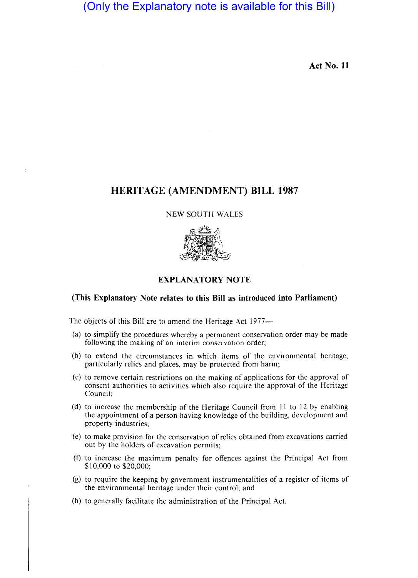# (Only the Explanatory note is available for this Bill)

Act No. 11

## HERITAGE (AMENDMENT) BILL 1987

#### NEW SOUTH WALES



## EXPLANATORY NOTE

## (This Explanatory Note relates to this Bill as introduced into Parliament)

The objects of this Bill are to amend the Heritage Act 1977-

- (a) to simplify the procedures whereby a permanent conservation order may be made following the making of an interim conservation order;
- (b) to extend the circumstances in which items of the environmental heritage, particularly relics and places, may be protected from harm;
- (c) to remove certain restrictions on the making of applications for the approval of consent authorities to activities which also require the approval of the Heritage Council;
- (d) to increase the membership of the Heritage Council from I1 to 12 by enabling the appointment of a person having knowledge of the building, development and property industries;
- (e) to make provision for the conservation of relics obtained from excavations carried out by the holders of excavation permits;
- (f) to increase the maximum penalty for offences against the Principal Act from \$10,000 to \$20,000;
- (g) to require the keeping by government instrumentalities of a register of items of the environmental heritage under their control; and
- (h) to generally facilitate the administration of the Principal Act.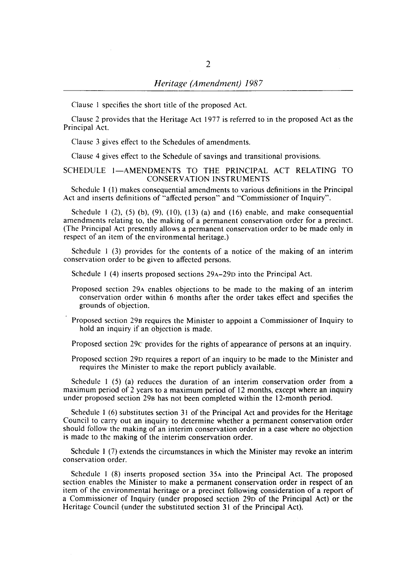Clause I specifies the short title of the proposed Act.

Clause 2 provides that the Heritage Act 1977 is referred to in the proposed Act as the Principal Act.

Clause 3 gives effect to the Schedules of amendments.

Clause 4 gives effect to the Schedule of savings and transitional provisions.

### SCHEDULE 1-AMENDMENTS TO THE PRINCIPAL ACT RELATING TO CONSERVATION INSTRUMENTS

Schedule 1 (I) makes consequential amendments to various definitions in the Principal Act and inserts definitions of "affected person" and "Commissioner of Inquiry".

Schedule  $1$  (2), (5) (b), (9), (10), (13) (a) and (16) enable, and make consequential amendments relating to, the making of a permanent conservation order for a precinct. (The Principal Act presently allows a permanent conservation order to be made only in respect of an item of the environmental heritage.)

Schedule I (3) provides for the contents of a notice of the making of an interim conservation order to be given to affected persons.

Schedule I (4) inserts proposed sections 29A-290 into the Principal Act.

Proposed section 29A enables objections to be made to the making of an interim conservation order within 6 months after the order takes effect and specifies the grounds of objection.

Proposed section 298 requires the Minister to appoint a Commissioner of Inquiry to hold an inquiry if an objection is made.

Proposed section 29c provides for the rights of appearance of persons at an inquiry.

Proposed section 290 requires a report of an inquiry to be made to the Minister and requires the Minister to make the report publicly available.

Schedule I (5) (a) reduces the duration of an interim conservation order from a maximum period of 2 years to a maximum period of 12 months, except where an inquiry under proposed section 298 has not been completed within the 12-month period.

Schedule I (6) substitutes section 31 of the Principal Act and provides for the Heritage Council to carry out an inquiry to determine whether a permanent conservation order should follow the making of an interim conservation order in a case where no objection is made to the making of the interim conservation order.

Schedule I (7) extends the circumstances in which the Minister may revoke an interim conservation order.

Schedule I (8) inserts proposed section 35A into the Principal Act. The proposed section enables the Minister to make a permanent conservation order in respect of an item of the environmental heritage or a precinct following consideration of a report of a Commissioner of Inquiry (under proposed section 290 of the Principal Act) or the Heritage Council (under the substituted section 31 of the Principal Act).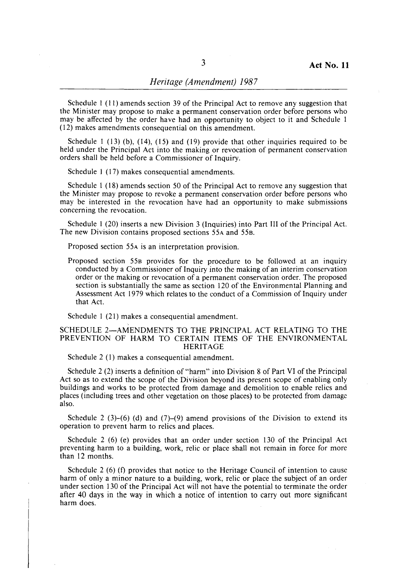## *Heritage (Amendment) 1987*

Schedule I (11) amends section 39 of the Principal Act to remove any suggestion that the Minister may propose to make a permanent conservation order before persons who may be affected by the order have had an opportunity to object to it and Schedule I (12) makes amendments consequential on this amendment.

Schedule 1 (13) (b),  $(14)$ ,  $(15)$  and  $(19)$  provide that other inquiries required to be held under the Principal Act into the making or revocation of permanent conservation orders shall be held before a Commissioner of Inquiry.

Schedule 1 (17) makes consequential amendments.

Schedule I (18) amends section 50 of the Principal Act to remove any suggestion that the Minister may propose to revoke a permanent conservation order before persons who may be interested in the revocation have had an opportunity to make submissions concerning the revocation.

Schedule I (20) inserts a new Division 3 (Inquiries) into Part III of the Principal Act. The new Division contains proposed sections 55A and 558.

Proposed section 55A is an interpretation provision.

Proposed section 558 provides for the procedure to be followed at an inquiry conducted by a Commissioner of Inquiry into the making of an interim conservation order or the making or revocation of a permanent conservation order. The proposed section is substantially the same as section 120 of the Environmental Planning and Assessment Act 1979 which relates to the conduct of a Commission of Inquiry under that Act.

Schedule 1 (21) makes a consequential amendment.

#### SCHEDULE 2-AMENDMENTS TO THE PRINCIPAL ACT RELATING TO THE PREVENTION OF HARM TO CERTAIN ITEMS OF THE ENVIRONMENTAL HERITAGE

Schedule 2 (I) makes a consequential amendment.

Schedule 2 (2) inserts a definition of "harm" into Division 8 of Part VI of the Principal Act so as to extend the scope of the Division beyond its present scope of enabling only buildings and works to be protected from damage and demolition to enable relics and places (including trees and other vegetation on those places) to be protected from damage also.

Schedule 2 (3)–(6) (d) and (7)–(9) amend provisions of the Division to extend its operation to prevent harm to relics and places.

Schedule 2 (6) (e) provides that an order under section 130 of the Principal Act preventing harm to a building, work, relic or place shall not remain in force for more than 12 months.

Schedule 2 (6) (f) provides that notice to the Heritage Council of intention to cause harm of only a minor nature to a building, work, relic or place the subject of an order under section 130 of the Principal Act will not have the potential to terminate the order after 40 days in the way in which a notice of intention to carry out more significant harm does.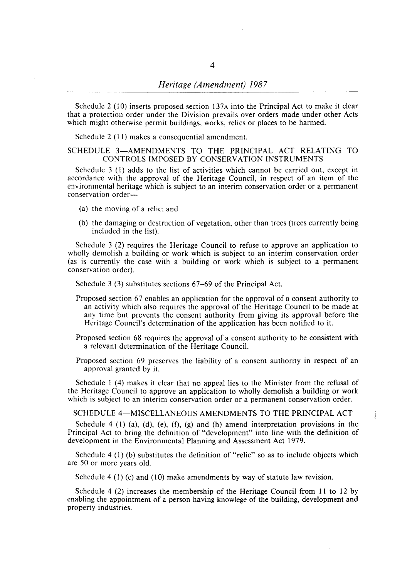Schedule 2 (10) inserts proposed section  $137A$  into the Principal Act to make it clear that a protection order under the Division prevails over orders made under other Acts which might otherwise permit buildings, works, relics or places to be harmed.

Schedule 2 (11) makes a consequential amendment.

#### SCHEDULE 3-AMENDMENTS TO THE PRINCIPAL ACT RELATING TO CONTROLS IMPOSED BY CONSERVATION INSTRUMENTS

Schedule 3 (1) adds to the list of activities which cannot be carried out. except in accordance with the approval of the Heritage Council, in respect of an item of the environmental heritage which is subject to an interim conservation order or a permanent conservation order-

- (a) the moving of a relic; and
- (b) the damaging or destruction of vegetation, other than trees (trees currently being included in the list).

Schedule 3 (2) requires the Heritage Council to refuse to approve an application to wholly demolish a building or work which is subject to an interim conservation order (as is currently the case with a building or work which is subject to a permanent conservation order).

Schedule 3 (3) substitutes sections 67-69 of the Principal Act.

- Proposed section 67 enables an application for the approval of a consent authority to an activity which also requires the approval of the Heritage Council to be made at any time but prevents the consent authority from giving its approval before the Heritage Council's determination of the application has been notified to it.
- Proposed section 68 requires the approval of a consent authority to be consistent with a relevant determination of the Heritage Council.
- Proposed section 69 preserves the liability of a consent authority in respect of an approval granted by it.

Schedule 1 (4) makes it clear that no appeal lies to the Minister from the refusal of the Heritage Council to approve an application to wholly demolish a building or work which is subject to an interim conservation order or a permanent conservation order.

SCHEDULE 4-MISCELLANEOUS AMENDMENTS TO THE PRINCIPAL ACT

Schedule 4 (1) (a), (d), (e), (f), (g) and (h) amend interpretation provisions in the Principal Act to bring the definition of "development" into line with the definition of development in the Environmental Planning and Assessment Act 1979.

Schedule 4 (I) (b) substitutes the definition of "relic" so as to include objects which are 50 or more years old.

Schedule 4 (1) (c) and (10) make amendments by way of statute law revision.

Schedule 4 (2) increases the membership of the Heritage Council from 11 to 12 by enabling the appointment of a person having knowlege of the building, development and property industries.